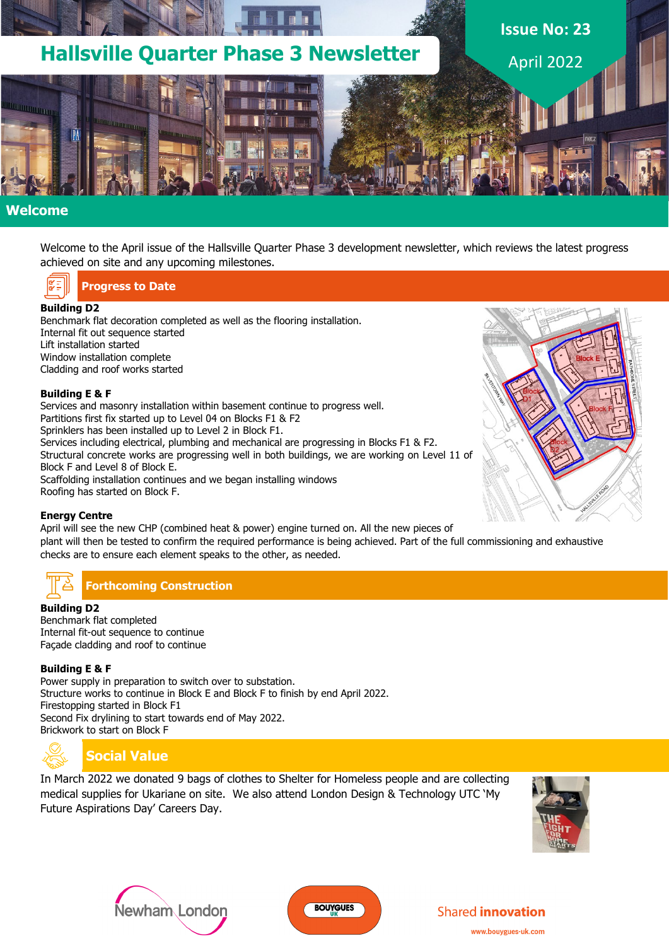

### **Welcome**

Welcome to the April issue of the Hallsville Quarter Phase 3 development newsletter, which reviews the latest progress achieved on site and any upcoming milestones.

**Progress to Date**

#### **Building D2**

Benchmark flat decoration completed as well as the flooring installation. Internal fit out sequence started Lift installation started Window installation complete Cladding and roof works started

#### **Building E & F**

Services and masonry installation within basement continue to progress well. Partitions first fix started up to Level 04 on Blocks F1 & F2 Sprinklers has been installed up to Level 2 in Block F1. Services including electrical, plumbing and mechanical are progressing in Blocks F1 & F2. Structural concrete works are progressing well in both buildings, we are working on Level 11 of Block F and Level 8 of Block E. Scaffolding installation continues and we began installing windows Roofing has started on Block F.

#### **Energy Centre**

April will see the new CHP (combined heat & power) engine turned on. All the new pieces of plant will then be tested to confirm the required performance is being achieved. Part of the full commissioning and exhaustive checks are to ensure each element speaks to the other, as needed.

# **Forthcoming Construction**

#### **Building D2**

Benchmark flat completed Internal fit-out sequence to continue Façade cladding and roof to continue

#### **Building E & F**

Power supply in preparation to switch over to substation. Structure works to continue in Block E and Block F to finish by end April 2022. Firestopping started in Block F1 Second Fix drylining to start towards end of May 2022. Brickwork to start on Block F



### **Social Value**

In March 2022 we donated 9 bags of clothes to Shelter for Homeless people and are collecting medical supplies for Ukariane on site. We also attend London Design & Technology UTC 'My Future Aspirations Day' Careers Day.







#### **Shared innovation**

www.bouvgues-uk.com